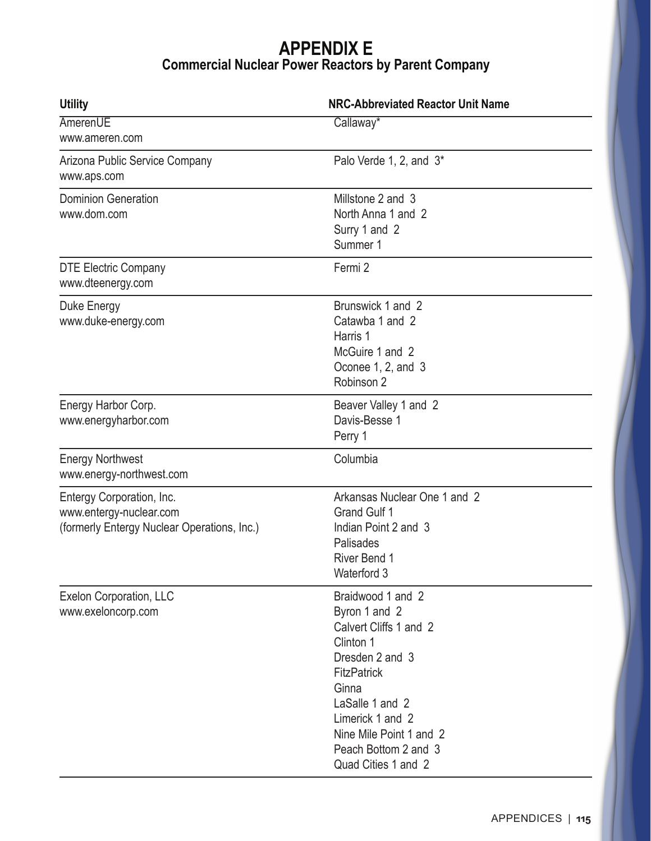## **APPENDIX E Commercial Nuclear Power Reactors by Parent Company**

| <b>Utility</b>                                                                                      | <b>NRC-Abbreviated Reactor Unit Name</b>                                                                                                                                                                                                     |
|-----------------------------------------------------------------------------------------------------|----------------------------------------------------------------------------------------------------------------------------------------------------------------------------------------------------------------------------------------------|
| AmerenUE<br>www.ameren.com                                                                          | Callaway*                                                                                                                                                                                                                                    |
| Arizona Public Service Company<br>www.aps.com                                                       | Palo Verde 1, 2, and 3*                                                                                                                                                                                                                      |
| <b>Dominion Generation</b><br>www.dom.com                                                           | Millstone 2 and 3<br>North Anna 1 and 2<br>Surry 1 and 2<br>Summer 1                                                                                                                                                                         |
| <b>DTE Electric Company</b><br>www.dteenergy.com                                                    | Fermi 2                                                                                                                                                                                                                                      |
| Duke Energy<br>www.duke-energy.com                                                                  | Brunswick 1 and 2<br>Catawba 1 and 2<br>Harris 1<br>McGuire 1 and 2<br>Oconee 1, 2, and 3<br>Robinson 2                                                                                                                                      |
| Energy Harbor Corp.<br>www.energyharbor.com                                                         | Beaver Valley 1 and 2<br>Davis-Besse 1<br>Perry 1                                                                                                                                                                                            |
| <b>Energy Northwest</b><br>www.energy-northwest.com                                                 | Columbia                                                                                                                                                                                                                                     |
| Entergy Corporation, Inc.<br>www.entergy-nuclear.com<br>(formerly Entergy Nuclear Operations, Inc.) | Arkansas Nuclear One 1 and 2<br><b>Grand Gulf 1</b><br>Indian Point 2 and 3<br>Palisades<br>River Bend 1<br>Waterford 3                                                                                                                      |
| Exelon Corporation, LLC<br>www.exeloncorp.com                                                       | Braidwood 1 and 2<br>Byron 1 and 2<br>Calvert Cliffs 1 and 2<br>Clinton 1<br>Dresden 2 and 3<br><b>FitzPatrick</b><br>Ginna<br>LaSalle 1 and 2<br>Limerick 1 and 2<br>Nine Mile Point 1 and 2<br>Peach Bottom 2 and 3<br>Quad Cities 1 and 2 |